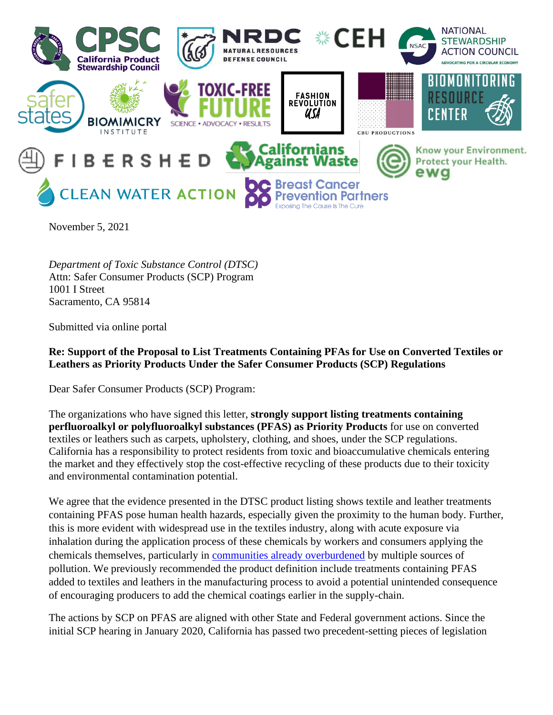

November 5, 2021

*Department of Toxic Substance Control (DTSC)* Attn: Safer Consumer Products (SCP) Program 1001 I Street Sacramento, CA 95814

Submitted via online portal

**Re: Support of the Proposal to List Treatments Containing PFAs for Use on Converted Textiles or Leathers as Priority Products Under the Safer Consumer Products (SCP) Regulations**

Dear Safer Consumer Products (SCP) Program:

The organizations who have signed this letter, **strongly support listing treatments containing perfluoroalkyl or polyfluoroalkyl substances (PFAS) as Priority Products** for use on converted textiles or leathers such as carpets, upholstery, clothing, and shoes, under the SCP regulations. California has a responsibility to protect residents from toxic and bioaccumulative chemicals entering the market and they effectively stop the cost-effective recycling of these products due to their toxicity and environmental contamination potential.

We agree that the evidence presented in the DTSC product listing shows textile and leather treatments containing PFAS pose human health hazards, especially given the proximity to the human body. Further, this is more evident with widespread use in the textiles industry, along with acute exposure via inhalation during the application process of these chemicals by workers and consumers applying the chemicals themselves, particularly in [communities already overburdened](https://www.nrdc.org/experts/anna-reade/pfas-pollution-widespread-disadvantaged-communities) by multiple sources of pollution. We previously recommended the product definition include treatments containing PFAS added to textiles and leathers in the manufacturing process to avoid a potential unintended consequence of encouraging producers to add the chemical coatings earlier in the supply-chain.

The actions by SCP on PFAS are aligned with other State and Federal government actions. Since the initial SCP hearing in January 2020, California has passed two precedent-setting pieces of legislation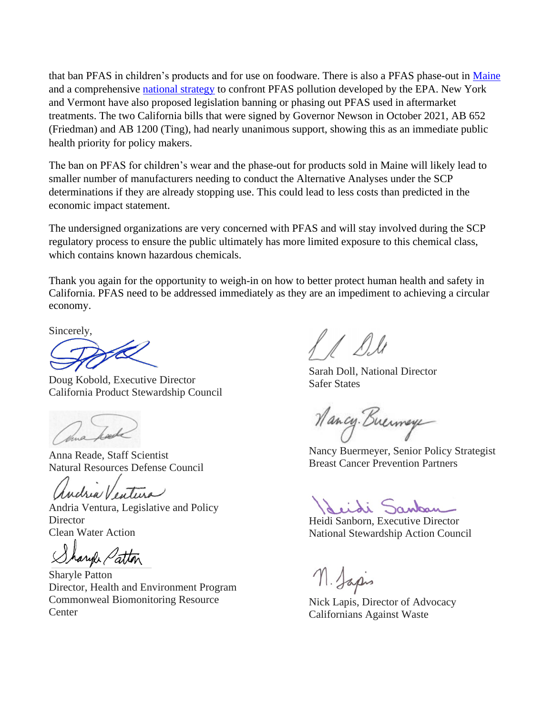that ban PFAS in children's products and for use on foodware. There is also a PFAS phase-out in [Maine](https://www.bdlaw.com/publications/maine-adopts-broad-ban-of-pfas-containing-products/?utm_source=Mondaq&utm_medium=syndication&utm_campaign=LinkedIn-integration)  and a comprehensive [national strategy](https://www.epa.gov/newsreleases/epa-administrator-regan-announces-comprehensive-national-strategy-confront-pfas) to confront PFAS pollution developed by the EPA. New York and Vermont have also proposed legislation banning or phasing out PFAS used in aftermarket treatments. The two California bills that were signed by Governor Newson in October 2021, AB 652 (Friedman) and AB 1200 (Ting), had nearly unanimous support, showing this as an immediate public health priority for policy makers.

The ban on PFAS for children's wear and the phase-out for products sold in Maine will likely lead to smaller number of manufacturers needing to conduct the Alternative Analyses under the SCP determinations if they are already stopping use. This could lead to less costs than predicted in the economic impact statement.

The undersigned organizations are very concerned with PFAS and will stay involved during the SCP regulatory process to ensure the public ultimately has more limited exposure to this chemical class, which contains known hazardous chemicals.

Thank you again for the opportunity to weigh-in on how to better protect human health and safety in California. PFAS need to be addressed immediately as they are an impediment to achieving a circular economy.

Sincerely,

Æ

Doug Kobold, Executive Director California Product Stewardship Council

thua hade

Anna Reade, Staff Scientist Natural Resources Defense Council

andria Ventura

Andria Ventura, Legislative and Policy **Director** Clean Water Action

Sharyle Patton

Sharyle Patton Director, Health and Environment Program Commonweal Biomonitoring Resource **Center** 

A Dile

Sarah Doll, National Director Safer States

Mancy. Buermaye

Nancy Buermeyer, Senior Policy Strategist Breast Cancer Prevention Partners

Seidi Sankar

Heidi Sanborn, Executive Director National Stewardship Action Council

n. Japis

Nick Lapis, Director of Advocacy Californians Against Waste